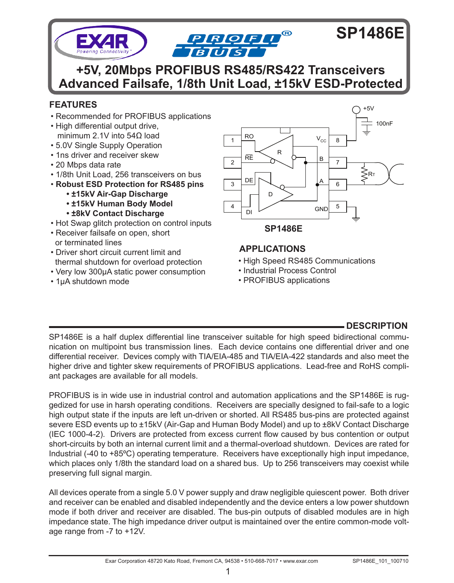

**+5V, 20Mbps PROFIBUS RS485/RS422 Transceivers Advanced Failsafe, 1/8th Unit Load, ±15kV ESD-Protected**

# **FEATURES**

- Recommended for PROFIBUS applications
- High differential output drive, minimum 2.1V into 54Ω load
- 5.0V Single Supply Operation
- 1ns driver and receiver skew
- 20 Mbps data rate
- 1/8th Unit Load, 256 transceivers on bus
- **Robust ESD Protection for RS485 pins**
	- **±15kV Air-Gap Discharge**
	- **±15kV Human Body Model**
	- **±8kV Contact Discharge**
- Hot Swap glitch protection on control inputs
- Receiver failsafe on open, short or terminated lines
- Driver short circuit current limit and thermal shutdown for overload protection
- Very low 300μA static power consumption
- 1μA shutdown mode



# **APPLICATIONS**

- High Speed RS485 Communications
- Industrial Process Control
- PROFIBUS applications

# **DESCRIPTION**

SP1486E is a half duplex differential line transceiver suitable for high speed bidirectional communication on multipoint bus transmission lines. Each device contains one differential driver and one differential receiver. Devices comply with TIA/EIA-485 and TIA/EIA-422 standards and also meet the higher drive and tighter skew requirements of PROFIBUS applications. Lead-free and RoHS compliant packages are available for all models.

PROFIBUS is in wide use in industrial control and automation applications and the SP1486E is ruggedized for use in harsh operating conditions. Receivers are specially designed to fail-safe to a logic high output state if the inputs are left un-driven or shorted. All RS485 bus-pins are protected against severe ESD events up to ±15kV (Air-Gap and Human Body Model) and up to ±8kV Contact Discharge (IEC 1000-4-2). Drivers are protected from excess current flow caused by bus contention or output short-circuits by both an internal current limit and a thermal-overload shutdown. Devices are rated for Industrial (-40 to +85ºC) operating temperature. Receivers have exceptionally high input impedance, which places only 1/8th the standard load on a shared bus. Up to 256 transceivers may coexist while preserving full signal margin.

All devices operate from a single 5.0 V power supply and draw negligible quiescent power. Both driver and receiver can be enabled and disabled independently and the device enters a low power shutdown mode if both driver and receiver are disabled. The bus-pin outputs of disabled modules are in high impedance state. The high impedance driver output is maintained over the entire common-mode voltage range from -7 to +12V.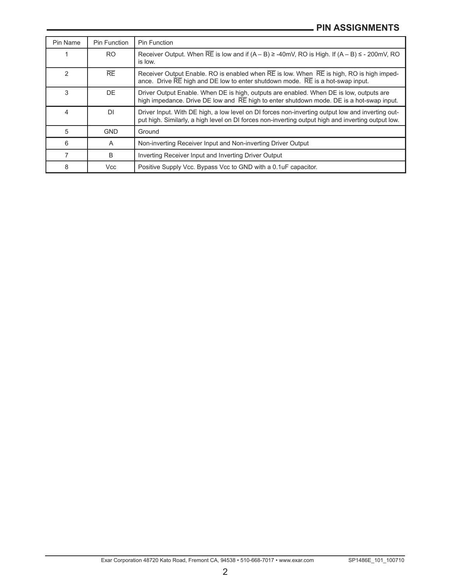| Pin Name      | Pin Function | Pin Function                                                                                                                                                                                           |  |
|---------------|--------------|--------------------------------------------------------------------------------------------------------------------------------------------------------------------------------------------------------|--|
|               | <b>RO</b>    | Receiver Output. When $\overline{RE}$ is low and if $(A - B) \ge -40$ mV, RO is High. If $(A - B) \le -200$ mV, RO<br>is low.                                                                          |  |
| $\mathcal{P}$ | RE           | Receiver Output Enable. RO is enabled when RE is low. When RE is high, RO is high imped-<br>ance. Drive RE high and DE low to enter shutdown mode. RE is a hot-swap input.                             |  |
| 3             | DF.          | Driver Output Enable. When DE is high, outputs are enabled. When DE is low, outputs are<br>high impedance. Drive DE low and RE high to enter shutdown mode. DE is a hot-swap input.                    |  |
| 4             | <b>DI</b>    | Driver Input. With DE high, a low level on DI forces non-inverting output low and inverting out-<br>put high. Similarly, a high level on DI forces non-inverting output high and inverting output low. |  |
| 5             | <b>GND</b>   | Ground                                                                                                                                                                                                 |  |
| 6             | A            | Non-inverting Receiver Input and Non-inverting Driver Output                                                                                                                                           |  |
|               | B            | Inverting Receiver Input and Inverting Driver Output                                                                                                                                                   |  |
| 8             | <b>Vcc</b>   | Positive Supply Vcc. Bypass Vcc to GND with a 0.1uF capacitor.                                                                                                                                         |  |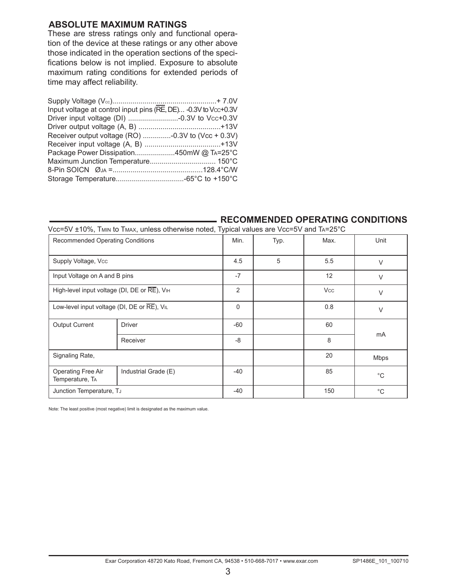## **Absolute Maximum Ratings**

These are stress ratings only and functional operation of the device at these ratings or any other above those indicated in the operation sections of the specifications below is not implied. Exposure to absolute maximum rating conditions for extended periods of time may affect reliability.

| Input voltage at control input pins (RE, DE) -0.3V to Vcc+0.3V |  |
|----------------------------------------------------------------|--|
|                                                                |  |
|                                                                |  |
| Receiver output voltage (RO) -0.3V to (Vcc + 0.3V)             |  |
|                                                                |  |
| Package Power Dissipation450mW @ TA=25°C                       |  |
|                                                                |  |
|                                                                |  |
|                                                                |  |
|                                                                |  |

### **RECOMMENDED OPERATING CONDITIONS**

Vcc=5V ±10%, Tmin to Tmax, unless otherwise noted, Typical values are Vcc=5V and Ta=25°C

| <b>Recommended Operating Conditions</b>      |                      |                | Typ. | Max.       | Unit         |
|----------------------------------------------|----------------------|----------------|------|------------|--------------|
| Supply Voltage, Vcc                          |                      | 4.5            | 5    | 5.5        | $\vee$       |
| Input Voltage on A and B pins                |                      | $-7$           |      | 12         | $\vee$       |
| High-level input voltage (DI, DE or RE), VIH |                      | $\overline{2}$ |      | <b>Vcc</b> | $\vee$       |
| Low-level input voltage (DI, DE or RE), VIL  |                      | 0              |      | 0.8        | $\vee$       |
| <b>Output Current</b>                        | <b>Driver</b>        | $-60$          |      | 60         |              |
|                                              | Receiver             | $-8$           |      | 8          | <b>mA</b>    |
| Signaling Rate,                              |                      |                |      | 20         | Mbps         |
| Operating Free Air<br>Temperature, TA        | Industrial Grade (E) | $-40$          |      | 85         | °C           |
| Junction Temperature, TJ                     |                      | $-40$          |      | 150        | $^{\circ}$ C |

Note: The least positive (most negative) limit is designated as the maximum value.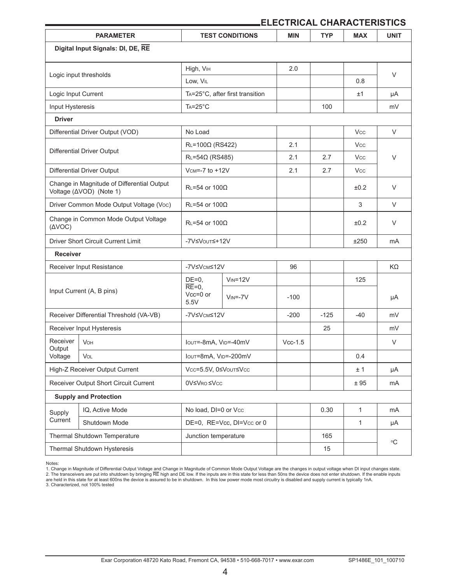## **ELECTRICAL CHARACTERISTICS**

| <b>PARAMETER</b>                                              |                                                                       |                               | <b>TEST CONDITIONS</b>          | <b>MIN</b> | <b>TYP</b> | <b>MAX</b>   | <b>UNIT</b>    |  |
|---------------------------------------------------------------|-----------------------------------------------------------------------|-------------------------------|---------------------------------|------------|------------|--------------|----------------|--|
|                                                               | Digital Input Signals: DI, DE, RE                                     |                               |                                 |            |            |              |                |  |
| Logic input thresholds                                        |                                                                       |                               | High, V <sub>IH</sub>           |            |            |              |                |  |
|                                                               |                                                                       | Low, VIL                      |                                 | 2.0        |            | 0.8          | V              |  |
| Logic Input Current                                           |                                                                       |                               | TA=25°C, after first transition |            |            | ±1           | μA             |  |
| Input Hysteresis                                              |                                                                       | $Ta=25^{\circ}C$              |                                 |            | 100        |              | mV             |  |
| <b>Driver</b>                                                 |                                                                       |                               |                                 |            |            |              |                |  |
|                                                               | Differential Driver Output (VOD)                                      | No Load                       |                                 |            |            | Vcc          | V              |  |
|                                                               |                                                                       | $RL=100\Omega$ (RS422)        |                                 | 2.1        |            | Vcc.         |                |  |
|                                                               | Differential Driver Output                                            | $RL = 54\Omega$ (RS485)       |                                 | 2.1        | 2.7        | <b>Vcc</b>   | V              |  |
|                                                               | <b>Differential Driver Output</b>                                     | $Vcm=-7$ to $+12V$            |                                 | 2.1        | 2.7        | <b>Vcc</b>   |                |  |
|                                                               | Change in Magnitude of Differential Output<br>Voltage (ΔVOD) (Note 1) | $R_1 = 54$ or 1000            |                                 |            |            | ±0.2         | $\vee$         |  |
|                                                               | Driver Common Mode Output Voltage (Voc)                               | $RL = 54$ or $100\Omega$      |                                 |            |            | 3            | V              |  |
| Change in Common Mode Output Voltage<br>$(\Delta \text{VOC})$ |                                                                       | $RL = 54$ or $100\Omega$      |                                 |            |            | ±0.2         | V              |  |
| Driver Short Circuit Current Limit                            |                                                                       | -7V≤VouT≤+12V                 |                                 |            |            | ±250         | mA             |  |
| <b>Receiver</b>                                               |                                                                       |                               |                                 |            |            |              |                |  |
| Receiver Input Resistance                                     |                                                                       | -7V≤V <sub>CM</sub> ≤12V      |                                 | 96         |            |              | KΩ             |  |
|                                                               |                                                                       | $DE=0$ ,                      | $V_{IN} = 12V$                  |            |            | 125          |                |  |
| Input Current (A, B pins)                                     |                                                                       | $RE=0.$<br>$Vcc=0$ or<br>5.5V | $V_{IN} = -7V$                  | $-100$     |            |              | μA             |  |
|                                                               | Receiver Differential Threshold (VA-VB)                               | -7V≤Vcm≤12V                   |                                 | $-200$     | $-125$     | $-40$        | mV             |  |
|                                                               | Receiver Input Hysteresis                                             |                               |                                 |            | 25         |              | mV             |  |
| Receiver                                                      | VOH                                                                   | Iout=-8mA, VID=-40mV          |                                 | $Vcc-1.5$  |            |              | $\vee$         |  |
| Output<br>Voltage<br>Vol                                      |                                                                       | Iout=8mA, VID=-200mV          |                                 |            |            | 0.4          |                |  |
| High-Z Receiver Output Current                                |                                                                       | Vcc=5.5V, 0≤VouT≤Vcc          |                                 |            |            | ± 1          | μA             |  |
| Receiver Output Short Circuit Current                         |                                                                       | 0V≤VRo ≤Vcc                   |                                 |            |            | ±95          | m <sub>A</sub> |  |
| <b>Supply and Protection</b>                                  |                                                                       |                               |                                 |            |            |              |                |  |
| IQ, Active Mode<br>Supply                                     |                                                                       | No load, DI=0 or Vcc          |                                 |            | 0.30       | $\mathbf{1}$ | mA             |  |
| Current                                                       | Shutdown Mode                                                         |                               | DE=0, RE=Vcc, DI=Vcc or 0       |            |            | 1            | μA             |  |
|                                                               | Thermal Shutdown Temperature                                          | Junction temperature          |                                 |            | 165        |              | °C             |  |
| Thermal Shutdown Hysteresis                                   |                                                                       |                               |                                 |            | 15         |              |                |  |

Notes:

<sup>1.</sup> Change in Magnitude of Differential Output Voltage and Change in Magnitude of Common Mode Output Voltage are the changes in output voltage when DI input changes state.<br>2. The transceivers are put into shutdown by bringi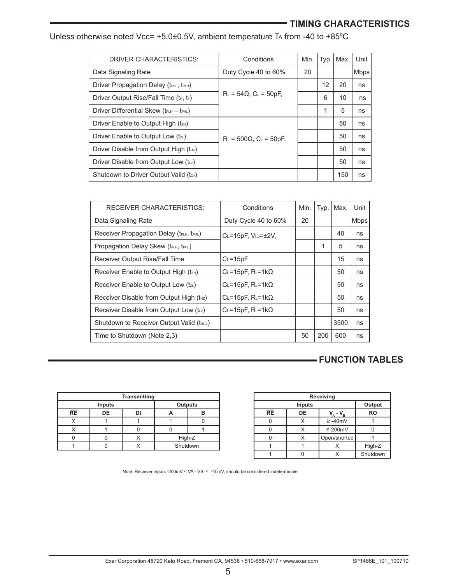# **TIMING CHARACTERISTICS**

| DRIVER CHARACTERISTICS:                                        | Conditions                           | Min. |    | Typ.   Max. | Unit        |
|----------------------------------------------------------------|--------------------------------------|------|----|-------------|-------------|
| Data Signaling Rate                                            | Duty Cycle 40 to 60%                 | 20   |    |             | <b>Mbps</b> |
| Driver Propagation Delay (tPHL, tPLH)                          |                                      |      | 12 | 20          | ns          |
| Driver Output Rise/Fall Time (tR, tF)                          | $R_L$ = 54 $\Omega$ , $C_L$ = 50pF,  |      | 6  | 10          | ns          |
| Driver Differential Skew ( $t_{\text{PLH}} - t_{\text{PHL}}$ ) |                                      |      |    | 5           | ns          |
| Driver Enable to Output High (tzH)                             |                                      |      |    | 50          | ns          |
| Driver Enable to Output Low (tz.)                              | $R_L$ = 500 $\Omega$ , $C_L$ = 50pF, |      |    | 50          | ns          |
| Driver Disable from Output High (t <sub>Hz</sub> )             |                                      |      |    | 50          | ns          |
| Driver Disable from Output Low (tuz)                           |                                      |      |    | 50          | ns          |
| Shutdown to Driver Output Valid (tzv)                          |                                      |      |    | 150         | ns          |
|                                                                |                                      |      |    |             |             |

Unless otherwise noted Vcc= +5.0±0.5V, ambient temperature TA from -40 to +85°C

| Conditions                             | Min. | Typ. | Max. | Unit |
|----------------------------------------|------|------|------|------|
| Duty Cycle 40 to 60%                   | 20   |      |      | Mbps |
| $C_L = 15pF$ , $V_D = \pm 2V$ ,        |      |      | 40   | ns   |
|                                        |      | 1    | 5    | ns   |
| $C_L = 15pF$                           |      |      | 15   | ns   |
| CL=15pF, $R$ <sub>L</sub> =1k $\Omega$ |      |      | 50   | ns   |
| CL=15pF, $R$ <sub>L</sub> =1k $\Omega$ |      |      | 50   | ns   |
| CL=15pF, $R$ <sub>L</sub> =1k $\Omega$ |      |      | 50   | ns   |
| CL=15pF, $R$ <sub>L</sub> =1k $\Omega$ |      |      | 50   | ns   |
|                                        |      |      | 3500 | ns   |
|                                        | 50   | 200  | 600  | ns   |
|                                        |      |      |      |      |

# **FUNCTION TABLES**

| <b>Transmitting</b> |    |  |          |  |  |  |
|---------------------|----|--|----------|--|--|--|
| Outputs<br>Inputs   |    |  |          |  |  |  |
| $\overline{RE}$     | DE |  |          |  |  |  |
|                     |    |  |          |  |  |  |
|                     |    |  |          |  |  |  |
|                     |    |  | High-Z   |  |  |  |
|                     |    |  | Shutdown |  |  |  |

| Receiving        |    |               |           |  |  |  |
|------------------|----|---------------|-----------|--|--|--|
| Output<br>Inputs |    |               |           |  |  |  |
| RE               | DE | $-V_{\rm R}$  | <b>RO</b> |  |  |  |
|                  |    | $\geq -40$ mV |           |  |  |  |
|                  | x  | $\leq$ -200mV |           |  |  |  |
|                  |    | Open/shorted  |           |  |  |  |
|                  |    |               | High-Z    |  |  |  |
|                  |    |               | Shutdown  |  |  |  |

Note: Receiver inputs -200mV < VA - VB < -40mV, should be considered indeterminate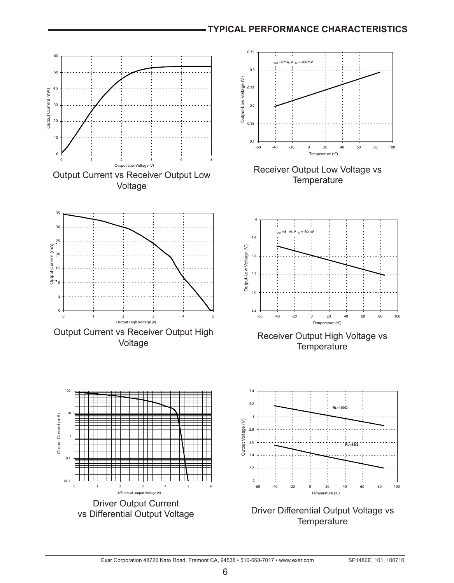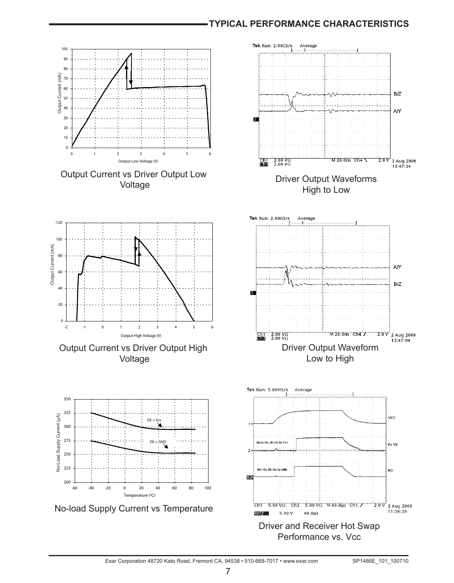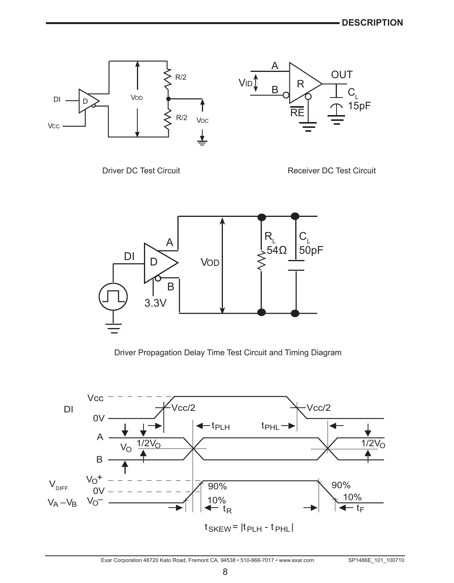

Driver DC Test Circuit **Receiver DC Test Circuit** Receiver DC Test Circuit



Driver Propagation Delay Time Test Circuit and Timing Diagram

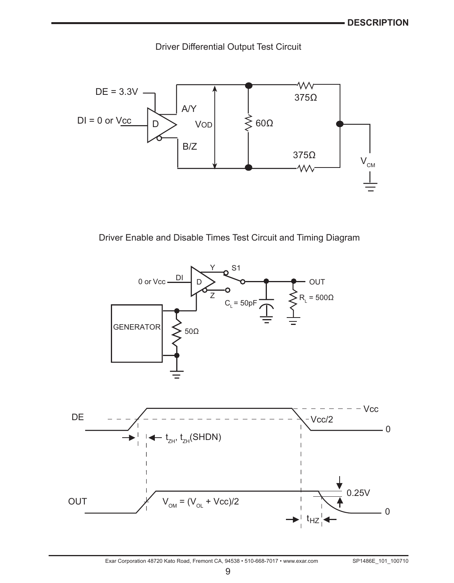Driver Differential Output Test Circuit



Driver Enable and Disable Times Test Circuit and Timing Diagram

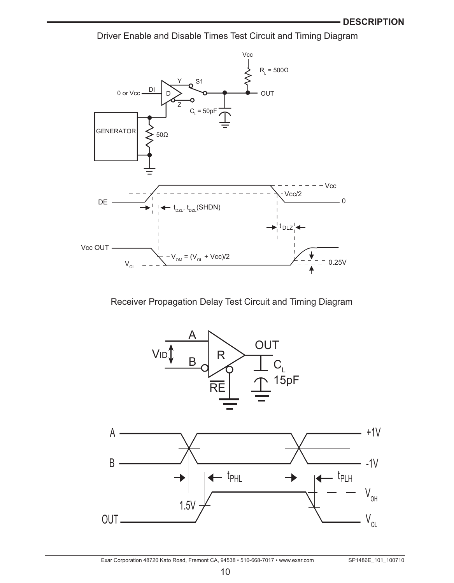Driver Enable and Disable Times Test Circuit and Timing Diagram



# Receiver Propagation Delay Test Circuit and Timing Diagram

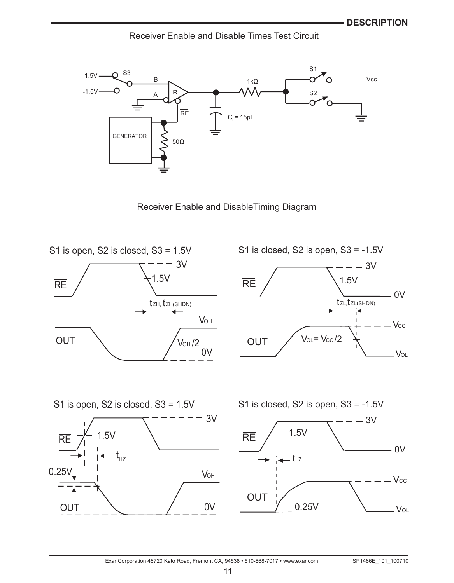Receiver Enable and Disable Times Test Circuit



Receiver Enable and DisableTiming Diagram



S1 is closed, S2 is open,  $S3 = -1.5V$ 





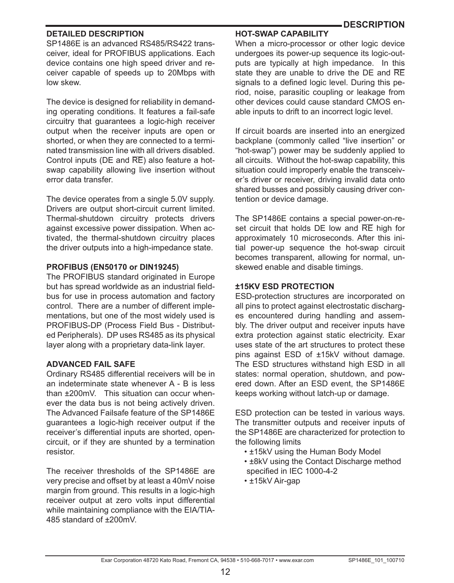## **DETAILED DESCRIPTION**

SP1486E is an advanced RS485/RS422 transceiver, ideal for PROFIBUS applications. Each device contains one high speed driver and receiver capable of speeds up to 20Mbps with low skew.

The device is designed for reliability in demanding operating conditions. It features a fail-safe circuitry that guarantees a logic-high receiver output when the receiver inputs are open or shorted, or when they are connected to a terminated transmission line with all drivers disabled. Control inputs (DE and RE) also feature a hotswap capability allowing live insertion without error data transfer.

The device operates from a single 5.0V supply. Drivers are output short-circuit current limited. Thermal-shutdown circuitry protects drivers against excessive power dissipation. When activated, the thermal-shutdown circuitry places the driver outputs into a high-impedance state.

### **PROFIBUS (EN50170 or DIN19245)**

The PROFIBUS standard originated in Europe but has spread worldwide as an industrial fieldbus for use in process automation and factory control. There are a number of different implementations, but one of the most widely used is PROFIBUS-DP (Process Field Bus - Distributed Peripherals). DP uses RS485 as its physical layer along with a proprietary data-link layer.

#### **ADVANCED FAIL SAFE**

Ordinary RS485 differential receivers will be in an indeterminate state whenever A - B is less than ±200mV. This situation can occur whenever the data bus is not being actively driven. The Advanced Failsafe feature of the SP1486E guarantees a logic-high receiver output if the receiver's differential inputs are shorted, opencircuit, or if they are shunted by a termination resistor.

The receiver thresholds of the SP1486E are very precise and offset by at least a 40mV noise margin from ground. This results in a logic-high receiver output at zero volts input differential while maintaining compliance with the EIA/TIA-485 standard of ±200mV.

# **HOT-SWAP CAPABILITY**

 **DESCRIPTION**

When a micro-processor or other logic device undergoes its power-up sequence its logic-outputs are typically at high impedance. In this state they are unable to drive the DE and RE signals to a defined logic level. During this period, noise, parasitic coupling or leakage from other devices could cause standard CMOS enable inputs to drift to an incorrect logic level.

If circuit boards are inserted into an energized backplane (commonly called "live insertion" or "hot-swap") power may be suddenly applied to all circuits. Without the hot-swap capability, this situation could improperly enable the transceiver's driver or receiver, driving invalid data onto shared busses and possibly causing driver contention or device damage.

The SP1486E contains a special power-on-reset circuit that holds DE low and RE high for approximately 10 microseconds. After this initial power-up sequence the hot-swap circuit becomes transparent, allowing for normal, unskewed enable and disable timings.

### **±15KV ESD PROTECTION**

ESD-protection structures are incorporated on all pins to protect against electrostatic discharges encountered during handling and assembly. The driver output and receiver inputs have extra protection against static electricity. Exar uses state of the art structures to protect these pins against ESD of ±15kV without damage. The ESD structures withstand high ESD in all states: normal operation, shutdown, and powered down. After an ESD event, the SP1486E keeps working without latch-up or damage.

ESD protection can be tested in various ways. The transmitter outputs and receiver inputs of the SP1486E are characterized for protection to the following limits

- ±15kV using the Human Body Model
- ±8kV using the Contact Discharge method specified in IEC 1000-4-2
- ±15kV Air-gap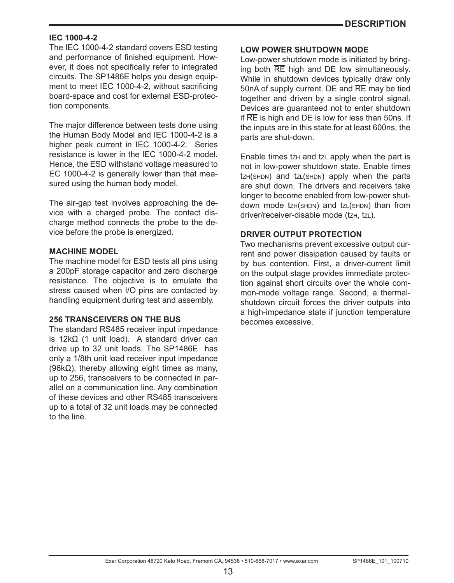#### **IEC 1000-4-2**

The IEC 1000-4-2 standard covers ESD testing and performance of finished equipment. However, it does not specifically refer to integrated circuits. The SP1486E helps you design equipment to meet IEC 1000-4-2, without sacrificing board-space and cost for external ESD-protection components.

The major difference between tests done using the Human Body Model and IEC 1000-4-2 is a higher peak current in IEC 1000-4-2. Series resistance is lower in the IEC 1000-4-2 model. Hence, the ESD withstand voltage measured to EC 1000-4-2 is generally lower than that measured using the human body model.

The air-gap test involves approaching the device with a charged probe. The contact discharge method connects the probe to the device before the probe is energized.

### **MACHINE MODEL**

The machine model for ESD tests all pins using a 200pF storage capacitor and zero discharge resistance. The objective is to emulate the stress caused when I/O pins are contacted by handling equipment during test and assembly.

#### **256 TRANSCEIVERS ON THE BUS**

The standard RS485 receiver input impedance is 12kΩ (1 unit load). A standard driver can drive up to 32 unit loads. The SP1486E has only a 1/8th unit load receiver input impedance (96kΩ), thereby allowing eight times as many, up to 256, transceivers to be connected in parallel on a communication line. Any combination of these devices and other RS485 transceivers up to a total of 32 unit loads may be connected to the line.

### **LOW POWER SHUTDOWN MODE**

Low-power shutdown mode is initiated by bringing both RE high and DE low simultaneously. While in shutdown devices typically draw only 50nA of supply current. DE and RE may be tied together and driven by a single control signal. Devices are guaranteed not to enter shutdown if RE is high and DE is low for less than 50ns. If the inputs are in this state for at least 600ns, the parts are shut-down.

Enable times  $txH$  and  $txL$  apply when the part is not in low-power shutdown state. Enable times  $t$ z $H$ (s $H$ DN) and  $t$ z $L$ (s $H$ DN) apply when the parts are shut down. The drivers and receivers take longer to become enabled from low-power shutdown mode tzH(SHDN) and tzL(SHDN) than from driver/receiver-disable mode (tzH, tzL).

### **DRIVER OUTPUT PROTECTION**

Two mechanisms prevent excessive output current and power dissipation caused by faults or by bus contention. First, a driver-current limit on the output stage provides immediate protection against short circuits over the whole common-mode voltage range. Second, a thermalshutdown circuit forces the driver outputs into a high-impedance state if junction temperature becomes excessive.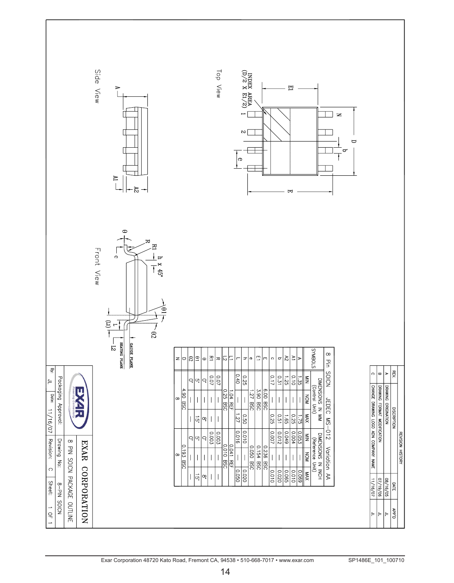| Side View<br>$\Rightarrow$<br>$\frac{R}{L}$<br>29                                                                                                                                                | Top View<br>INDEX AREA (D) $\sim 2\times 10^{10}$<br>囯<br>$\geq$<br>$\sim$<br>$\Box$<br>p<br>G<br>변                                                                                                                                                                                                              |                                                                                                           |
|--------------------------------------------------------------------------------------------------------------------------------------------------------------------------------------------------|------------------------------------------------------------------------------------------------------------------------------------------------------------------------------------------------------------------------------------------------------------------------------------------------------------------|-----------------------------------------------------------------------------------------------------------|
| $\bullet$<br>ᆽ<br>Þ<br>Front View<br>$\ddot{\phantom{0}}$<br>$\frac{1}{2}$ x $\frac{1}{2}$<br>$\mathbf{e}$<br>E<br>T<br>$\sqrt{2}$<br>$\sim 92$<br>SEATING PLANE<br>$\frac{1}{5}$<br>GAUGE PLANE | STOBINUS<br>$\infty$<br>즈<br>ū<br>$\mathbb{B}$<br>$\mathcal{L}_{\mathcal{A}}$<br>Σ<br>$\overline{e}$<br>12<br>$\sigma$<br>□<br>$\Rightarrow$<br>$\Phi$<br>$\circ$<br>z<br>$\bullet$<br>w<br>U<br>r<br>m                                                                                                          |                                                                                                           |
| ey:<br>$\in$                                                                                                                                                                                     | Pin SOICN<br>0.40<br>0.07<br>0.07<br>$\frac{0.25}{2}$<br>0.17<br>12.0<br>0.10<br>1.25<br>$\frac{8}{2}$<br>1.35<br>Ċ<br> ဟ္<br>ą                                                                                                                                                                                  | РŚ.<br>$\circ$<br>w<br>$\blacktriangleright$                                                              |
| Packaging Approval:<br>11/16/01                                                                                                                                                                  | DIMENSIONS IN MM<br>(Control Unit)<br>3.90 BSC<br>6.00 BSC<br>4.90 BSC<br>$0.25$ BSC<br>1.27 BSC<br>1.04 REF<br><b>NON</b><br>$\infty$<br>JEDEC MS-012<br>1.27<br>0.25<br>190<br>XVM<br>0.50<br>0.25<br>$\frac{1.65}{\pi}$<br>d.<br>œΙ<br>$\overline{S}$<br>$\overline{\phantom{a}}$<br>$\overline{\phantom{a}}$ | CHANGE DRAWING LOGO ADN COMPANY NAME<br>DRAWING FORMAT MODIFICATION<br>DRAWING ORIGINATION<br>DISCRIPTION |
|                                                                                                                                                                                                  | 0.003<br>0.003<br>o.<br>$\circ$<br>$\circ$<br>6+00<br>$\circ$<br>0<br>$\circ$<br>ೆ ಎ∣<br> ə<br>$rac{1}{2}$<br>S<br> S<br>L00<br>210<br>-004<br>$\overline{053}$<br>È<br>E                                                                                                                                        | REVISION HISTORY                                                                                          |
| Revision: C<br>Drawing No:<br>8 PIN SOICN PACKAGE OUTLINE<br>EXAR CORPORATION                                                                                                                    | DIMENSIONS IN INCH<br>(Reference Unit)<br>0.010.88<br>Variation AA<br>0.041 REF<br>0.193 BSC<br>0.050 BSC<br>0.154 BSC<br>0.236 BSC<br>MOM<br>$\infty$<br>$\mid$<br>$\overline{\phantom{a}}$<br>$\vert$<br>0.050<br>0.020<br>X<br>0.010                                                                          |                                                                                                           |
| Sheet:<br>NOIOS NI <sub>d</sub> -8                                                                                                                                                               | 0.020<br>$rac{65}{65}$<br>0.010<br>690.0<br>ā,<br>∞¦                                                                                                                                                                                                                                                             | 11/16/07<br>90/61/20<br>68/16/05<br>DATE                                                                  |
| 10F1                                                                                                                                                                                             |                                                                                                                                                                                                                                                                                                                  | $Q$ , dd $\forall$<br>$\equiv$<br>$\varepsilon$<br>∣⊧                                                     |